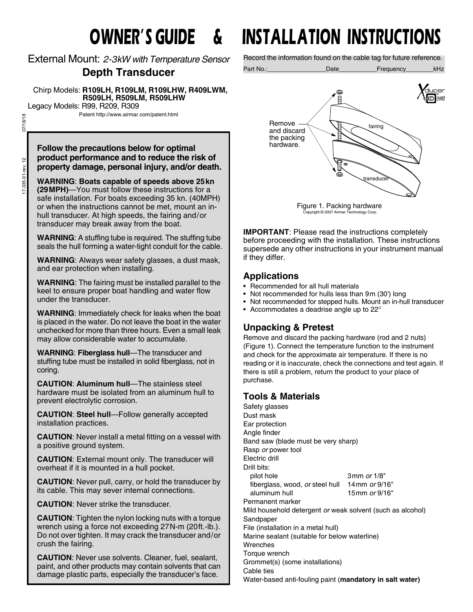External Mount: *2-3kW with Temperature Sensor*

# **Depth Transducer**

 Chirp Models: **R109LH, R109LM, R109LHW, R409LWM, R509LH, R509LM, R509LHW** Legacy Models: R99, R209, R309

Patent http://www.airmar.com/patent.html

07/18/18 17-335-01-rev. 12 07/18/18 17-335-01-rev. 12

#### **Follow the precautions below for optimal product performance and to reduce the risk of property damage, personal injury, and/or death.**

**WARNING**: **Boats capable of speeds above 25kn (29MPH)**—You must follow these instructions for a safe installation. For boats exceeding 35 kn. (40MPH) or when the instructions cannot be met, mount an inhull transducer. At high speeds, the fairing and/or transducer may break away from the boat.

**WARNING**: A stuffing tube is required. The stuffing tube seals the hull forming a water-tight conduit for the cable.

**WARNING**: Always wear safety glasses, a dust mask, and ear protection when installing.

**WARNING**: The fairing must be installed parallel to the keel to ensure proper boat handling and water flow under the transducer.

**WARNING**: Immediately check for leaks when the boat is placed in the water. Do not leave the boat in the water unchecked for more than three hours. Even a small leak may allow considerable water to accumulate.

**WARNING**: **Fiberglass hull**—The transducer and stuffing tube must be installed in solid fiberglass, not in coring.

**CAUTION**: **Aluminum hull**—The stainless steel hardware must be isolated from an aluminum hull to prevent electrolytic corrosion.

**CAUTION**: **Steel hull**—Follow generally accepted installation practices.

**CAUTION**: Never install a metal fitting on a vessel with a positive ground system.

**CAUTION**: External mount only. The transducer will overheat if it is mounted in a hull pocket.

**CAUTION**: Never pull, carry, or hold the transducer by its cable. This may sever internal connections.

**CAUTION**: Never strike the transducer.

**CAUTION**: Tighten the nylon locking nuts with a torque wrench using a force not exceeding 27N-m (20ft.-lb.). Do not over tighten. It may crack the transducer and/or crush the fairing.

**CAUTION**: Never use solvents. Cleaner, fuel, sealant, paint, and other products may contain solvents that can damage plastic parts, especially the transducer's face.

# **OWNER'S GUIDE & INSTALLATION INSTRUCTIONS**

Record the information found on the cable tag for future reference.

Part No.:\_\_\_\_\_\_\_\_\_\_\_\_\_\_\_\_\_Date\_\_\_\_\_\_\_\_\_\_\_Frequency\_\_\_\_\_\_\_\_kHz



Figure 1. Packing hardware Copyright © 2007 Airmar Technology Corp.

**IMPORTANT**: Please read the instructions completely before proceeding with the installation. These instructions supersede any other instructions in your instrument manual if they differ.

# **Applications**

- Recommended for all hull materials
- Not recommended for hulls less than 9m (30') long
- Not recommended for stepped hulls. Mount an in-hull transducer<br>• Accommodates a deadrise angle up to 22°
- Accommodates a deadrise angle up to 22

# **Unpacking & Pretest**

Remove and discard the packing hardware (rod and 2 nuts) (Figure 1). Connect the temperature function to the instrument and check for the approximate air temperature. If there is no reading or it is inaccurate, check the connections and test again. If there is still a problem, return the product to your place of purchase.

## **Tools & Materials**

Safety glasses Dust mask Ear protection Angle finder Band saw (blade must be very sharp) Rasp *or* power tool Electric drill Drill bits: pilot hole 3mm *or* 1/8" fiberglass, wood, *or* steel hull 14mm *or* 9/16" aluminum hull 15mm *or* 9/16" Permanent marker Mild household detergent *or* weak solvent (such as alcohol) Sandpaper File (installation in a metal hull) Marine sealant (suitable for below waterline) **Wrenches** Torque wrench Grommet(s) (some installations) Cable ties Water-based anti-fouling paint (**mandatory in salt water)**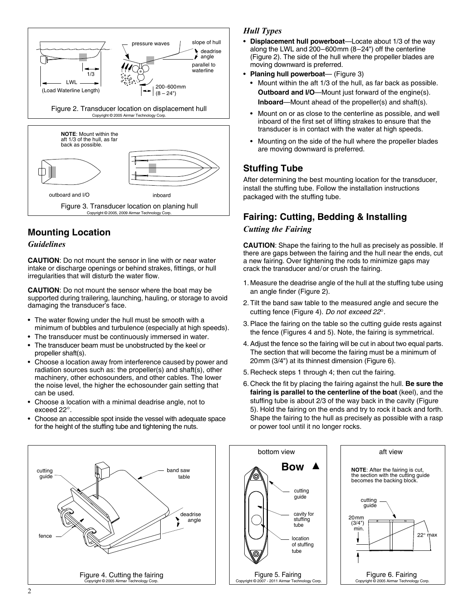

# **Mounting Location**

#### *Guidelines*

**CAUTION**: Do not mount the sensor in line with or near water intake or discharge openings or behind strakes, fittings, or hull irregularities that will disturb the water flow.

**CAUTION**: Do not mount the sensor where the boat may be supported during trailering, launching, hauling, or storage to avoid damaging the transducer's face.

- The water flowing under the hull must be smooth with a minimum of bubbles and turbulence (especially at high speeds).
- The transducer must be continuously immersed in water.
- The transducer beam must be unobstructed by the keel or propeller shaft(s).
- Choose a location away from interference caused by power and radiation sources such as: the propeller(s) and shaft(s), other machinery, other echosounders, and other cables. The lower the noise level, the higher the echosounder gain setting that can be used.
- Choose a location with a minimal deadrise angle, not to exceed 22°.
- Choose an accessible spot inside the vessel with adequate space for the height of the stuffing tube and tightening the nuts.

#### *Hull Types*

- **Displacement hull powerboat**—Locate about 1/3 of the way along the LWL and 200–600mm (8–24") off the centerline (Figure 2). The side of the hull where the propeller blades are moving downward is preferred.
- **Planing hull powerboat** (Figure 3)
	- Mount within the aft 1/3 of the hull, as far back as possible. **Outboard and I/O**—Mount just forward of the engine(s). **Inboard**—Mount ahead of the propeller(s) and shaft(s).
	- Mount on or as close to the centerline as possible, and well inboard of the first set of lifting strakes to ensure that the transducer is in contact with the water at high speeds.
	- Mounting on the side of the hull where the propeller blades are moving downward is preferred.

# **Stuffing Tube**

After determining the best mounting location for the transducer, install the stuffing tube. Follow the installation instructions packaged with the stuffing tube.

# **Fairing: Cutting, Bedding & Installing**

#### *Cutting the Fairing*

**CAUTION**: Shape the fairing to the hull as precisely as possible. If there are gaps between the fairing and the hull near the ends, cut a new fairing. Over tightening the rods to minimize gaps may crack the transducer and/or crush the fairing.

- 1. Measure the deadrise angle of the hull at the stuffing tube using an angle finder (Figure 2).
- 2. Tilt the band saw table to the measured angle and secure the cutting fence (Figure 4). *Do not exceed 22.*
- 3. Place the fairing on the table so the cutting guide rests against the fence (Figures 4 and 5). Note, the fairing is symmetrical.
- 4. Adjust the fence so the fairing will be cut in about two equal parts. The section that will become the fairing must be a minimum of 20mm (3/4") at its thinnest dimension (Figure 6).
- 5. Recheck steps 1 through 4; then cut the fairing.
- 6. Check the fit by placing the fairing against the hull. **Be sure the fairing is parallel to the centerline of the boat** (keel), and the stuffing tube is about 2/3 of the way back in the cavity (Figure 5). Hold the fairing on the ends and try to rock it back and forth. Shape the fairing to the hull as precisely as possible with a rasp or power tool until it no longer rocks.

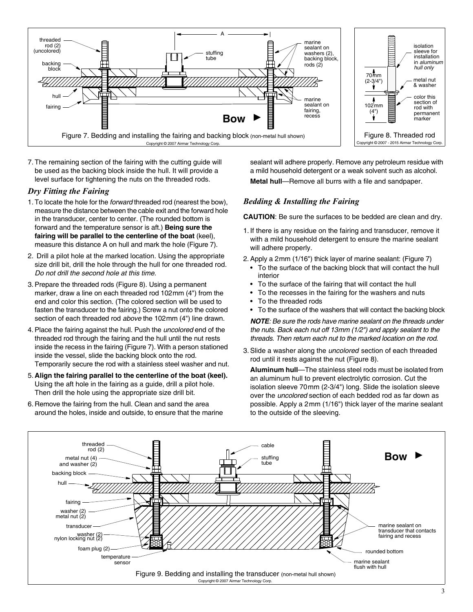

7. The remaining section of the fairing with the cutting guide will be used as the backing block inside the hull. It will provide a level surface for tightening the nuts on the threaded rods.

#### *Dry Fitting the Fairing*

- 1. To locate the hole for the *forward* threaded rod (nearest the bow), measure the distance between the cable exit and the forward hole in the transducer, center to center. (The rounded bottom is forward and the temperature sensor is aft.) **Being sure the fairing will be parallel to the centerline of the boat** (keel), measure this distance A on hull and mark the hole (Figure 7).
- 2. Drill a pilot hole at the marked location. Using the appropriate size drill bit, drill the hole through the hull for one threaded rod. *Do not drill the second hole at this time*.
- 3. Prepare the threaded rods (Figure 8). Using a permanent marker, draw a line on each threaded rod 102mm (4") from the end and color this section. (The colored section will be used to fasten the transducer to the fairing.) Screw a nut onto the colored section of each threaded rod *above* the 102mm (4") line drawn.
- 4. Place the fairing against the hull. Push the *uncolored* end of the threaded rod through the fairing and the hull until the nut rests inside the recess in the fairing (Figure 7). With a person stationed inside the vessel, slide the backing block onto the rod. Temporarily secure the rod with a stainless steel washer and nut.
- 5. **Align the fairing parallel to the centerline of the boat (keel).** Using the aft hole in the fairing as a guide, drill a pilot hole. Then drill the hole using the appropriate size drill bit.
- 6. Remove the fairing from the hull. Clean and sand the area around the holes, inside and outside, to ensure that the marine

sealant will adhere properly. Remove any petroleum residue with a mild household detergent or a weak solvent such as alcohol. **Metal hull**—Remove all burrs with a file and sandpaper.

#### *Bedding & Installing the Fairing*

**CAUTION**: Be sure the surfaces to be bedded are clean and dry.

- 1. If there is any residue on the fairing and transducer, remove it with a mild household detergent to ensure the marine sealant will adhere properly.
- 2. Apply a 2mm (1/16") thick layer of marine sealant: (Figure 7)
	- To the surface of the backing block that will contact the hull interior
	- To the surface of the fairing that will contact the hull
	- To the recesses in the fairing for the washers and nuts
	- To the threaded rods
	- To the surface of the washers that will contact the backing block

*NOTE: Be sure the rods have marine sealant on the threads under the nuts. Back each nut off 13mm (1/2") and apply sealant to the threads. Then return each nut to the marked location on the rod.*

3. Slide a washer along the *uncolored* section of each threaded rod until it rests against the nut (Figure 8).

**Aluminum hull**—The stainless steel rods must be isolated from an aluminum hull to prevent electrolytic corrosion. Cut the isolation sleeve 70mm (2-3/4") long. Slide the isolation sleeve over the *uncolored* section of each bedded rod as far down as possible. Apply a 2mm (1/16") thick layer of the marine sealant to the outside of the sleeving.